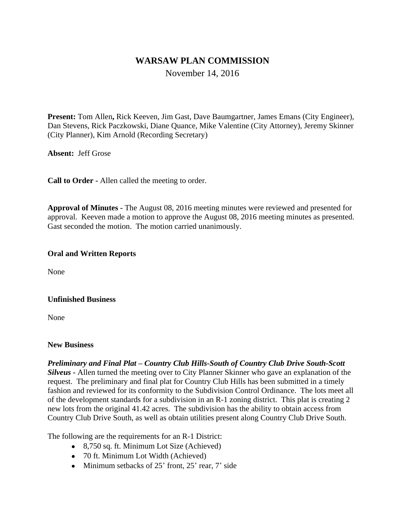# **WARSAW PLAN COMMISSION**

November 14, 2016

**Present:** Tom Allen**,** Rick Keeven, Jim Gast, Dave Baumgartner, James Emans (City Engineer), Dan Stevens, Rick Paczkowski, Diane Quance, Mike Valentine (City Attorney), Jeremy Skinner (City Planner), Kim Arnold (Recording Secretary)

**Absent:** Jeff Grose

**Call to Order -** Allen called the meeting to order.

**Approval of Minutes -** The August 08, 2016 meeting minutes were reviewed and presented for approval. Keeven made a motion to approve the August 08, 2016 meeting minutes as presented. Gast seconded the motion. The motion carried unanimously.

#### **Oral and Written Reports**

None

#### **Unfinished Business**

None

#### **New Business**

*Preliminary and Final Plat – Country Club Hills-South of Country Club Drive South-Scott* 

*Silveus -* Allen turned the meeting over to City Planner Skinner who gave an explanation of the request. The preliminary and final plat for Country Club Hills has been submitted in a timely fashion and reviewed for its conformity to the Subdivision Control Ordinance. The lots meet all of the development standards for a subdivision in an R-1 zoning district. This plat is creating 2 new lots from the original 41.42 acres. The subdivision has the ability to obtain access from Country Club Drive South, as well as obtain utilities present along Country Club Drive South.

The following are the requirements for an R-1 District:

- 8,750 sq. ft. Minimum Lot Size (Achieved)
- 70 ft. Minimum Lot Width (Achieved)
- $\bullet$  Minimum setbacks of 25<sup>'</sup> front, 25<sup>'</sup> rear, 7' side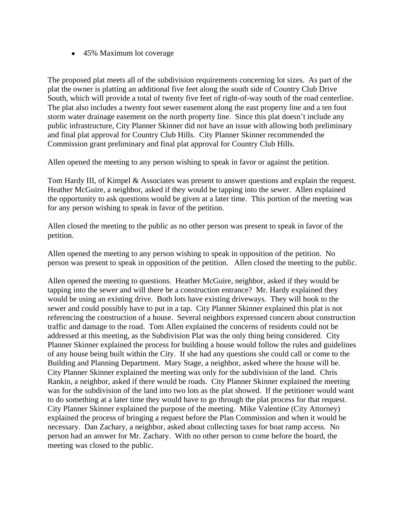• 45% Maximum lot coverage

The proposed plat meets all of the subdivision requirements concerning lot sizes. As part of the plat the owner is platting an additional five feet along the south side of Country Club Drive South, which will provide a total of twenty five feet of right-of-way south of the road centerline. The plat also includes a twenty foot sewer easement along the east property line and a ten foot storm water drainage easement on the north property line. Since this plat doesn't include any public infrastructure, City Planner Skinner did not have an issue with allowing both preliminary and final plat approval for Country Club Hills. City Planner Skinner recommended the Commission grant preliminary and final plat approval for Country Club Hills.

Allen opened the meeting to any person wishing to speak in favor or against the petition.

Tom Hardy III, of Kimpel & Associates was present to answer questions and explain the request. Heather McGuire, a neighbor, asked if they would be tapping into the sewer. Allen explained the opportunity to ask questions would be given at a later time. This portion of the meeting was for any person wishing to speak in favor of the petition.

Allen closed the meeting to the public as no other person was present to speak in favor of the petition.

Allen opened the meeting to any person wishing to speak in opposition of the petition. No person was present to speak in opposition of the petition. Allen closed the meeting to the public.

Allen opened the meeting to questions. Heather McGuire, neighbor, asked if they would be tapping into the sewer and will there be a construction entrance? Mr. Hardy explained they would be using an existing drive. Both lots have existing driveways. They will hook to the sewer and could possibly have to put in a tap. City Planner Skinner explained this plat is not referencing the construction of a house. Several neighbors expressed concern about construction traffic and damage to the road. Tom Allen explained the concerns of residents could not be addressed at this meeting, as the Subdivision Plat was the only thing being considered. City Planner Skinner explained the process for building a house would follow the rules and guidelines of any house being built within the City. If she had any questions she could call or come to the Building and Planning Department. Mary Stage, a neighbor, asked where the house will be. City Planner Skinner explained the meeting was only for the subdivision of the land. Chris Rankin, a neighbor, asked if there would be roads. City Planner Skinner explained the meeting was for the subdivision of the land into two lots as the plat showed. If the petitioner would want to do something at a later time they would have to go through the plat process for that request. City Planner Skinner explained the purpose of the meeting. Mike Valentine (City Attorney) explained the process of bringing a request before the Plan Commission and when it would be necessary. Dan Zachary, a neighbor, asked about collecting taxes for boat ramp access. No person had an answer for Mr. Zachary. With no other person to come before the board, the meeting was closed to the public.